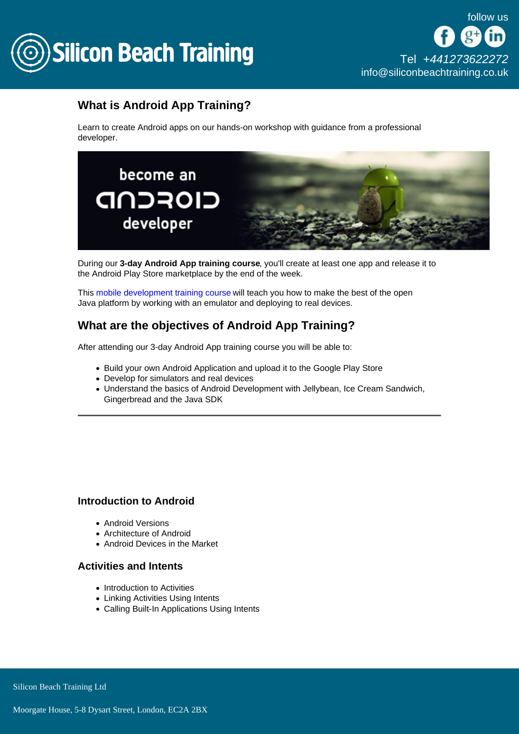

# What is Android App Training?

Learn to create Android apps on our hands-on workshop with guidance from a professional developer.

During our 3-day Android App training course , you'll create at least one app and release it to the Android Play Store marketplace by the end of the week.

This [mobile development training course](/mobile-development-training) will teach you how to make the best of the open Java platform by working with an emulator and deploying to real devices.

# What are the objectives of Android App Training?

After attending our 3-day Android App training course you will be able to:

- Build your own Android Application and upload it to the Google Play Store
- Develop for simulators and real devices
- Understand the basics of Android Development with Jellybean, Ice Cream Sandwich, Gingerbread and the Java SDK

## Introduction to Android

- Android Versions
- Architecture of Android
- Android Devices in the Market

### Activities and Intents

- Introduction to Activities
- Linking Activities Using Intents
- Calling Built-In Applications Using Intents

Silicon Beach Training Ltd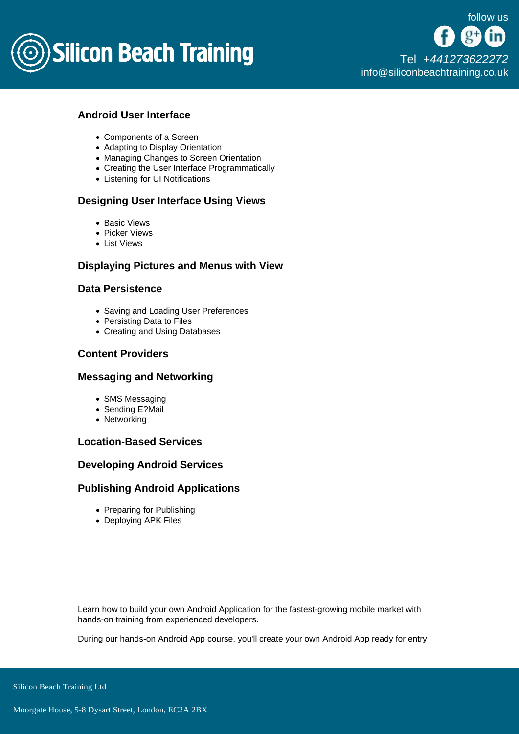

[Tel +44](tel:+441273622272)1273622272 [info@siliconbeachtraining.co.uk](/var/www/html/siliconbeachtraining.co.uk/public/mailTo:info@siliconbeachtraining.co.uk)

# Android User Interface

- Components of a Screen
- Adapting to Display Orientation
- Managing Changes to Screen Orientation
- Creating the User Interface Programmatically
- Listening for UI Notifications

## Designing User Interface Using Views

- Basic Views
- Picker Views
- List Views

## Displaying Pictures and Menus with View

## Data Persistence

- Saving and Loading User Preferences
- Persisting Data to Files
- Creating and Using Databases

## Content Providers

### Messaging and Networking

- SMS Messaging
- Sending E?Mail
- Networking

### Location-Based Services

### Developing Android Services

### Publishing Android Applications

- Preparing for Publishing
- Deploying APK Files

Learn how to build your own Android Application for the fastest-growing mobile market with hands-on training from experienced developers.

During our hands-on Android App course, you'll create your own Android App ready for entry

Silicon Beach Training Ltd